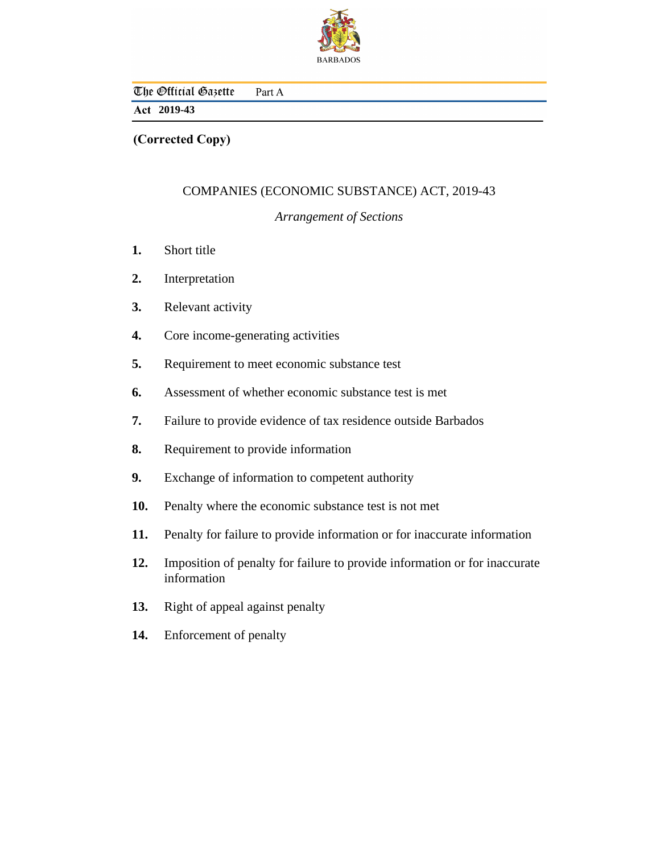

The Official Gazette Part A

## **2019-43**

**(Corrected Copy)**

# COMPANIES (ECONOMIC SUBSTANCE) ACT, 2019-43

## *Arrangement of Sections*

- [Short title](#page-3-0) **1.**
- [Interpretation](#page-3-0) **2.**
- [Relevant activity](#page-8-0) **3.**
- [Core income-generating activities](#page-9-0) **4.**
- [Requirement to meet economic substance test](#page-11-0) **5.**
- [Assessment of whether economic substance test is met](#page-14-0) **6.**
- [Failure to provide evidence of tax residence outside Barbados](#page-14-0) **7.**
- [Requirement to provide information](#page-15-0) **8.**
- [Exchange of information to competent authority](#page-15-0) **9.**
- [Penalty where the economic substance test is not met](#page-17-0) **10.**
- [Penalty for failure to provide information or for inaccurate information](#page-20-0) **11.**
- [Imposition of penalty for failure to provide information or for inaccurate](#page-21-0) information **12.**
- [Right of appeal against penalty](#page-21-0) **13.**
- [Enforcement of penalty](#page-21-0) **14.**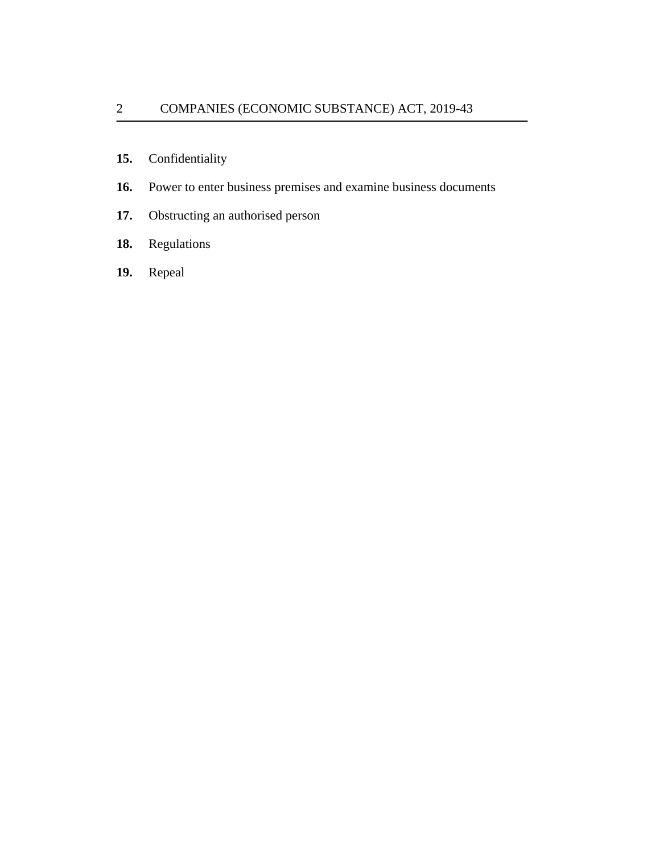- [Confidentiality](#page-22-0) **15.**
- [Power to enter business premises and examine business documents](#page-22-0) **16.**
- [Obstructing an authorised person](#page-23-0) **17.**
- [Regulations](#page-23-0) **18.**
- [Repeal](#page-23-0) **19.**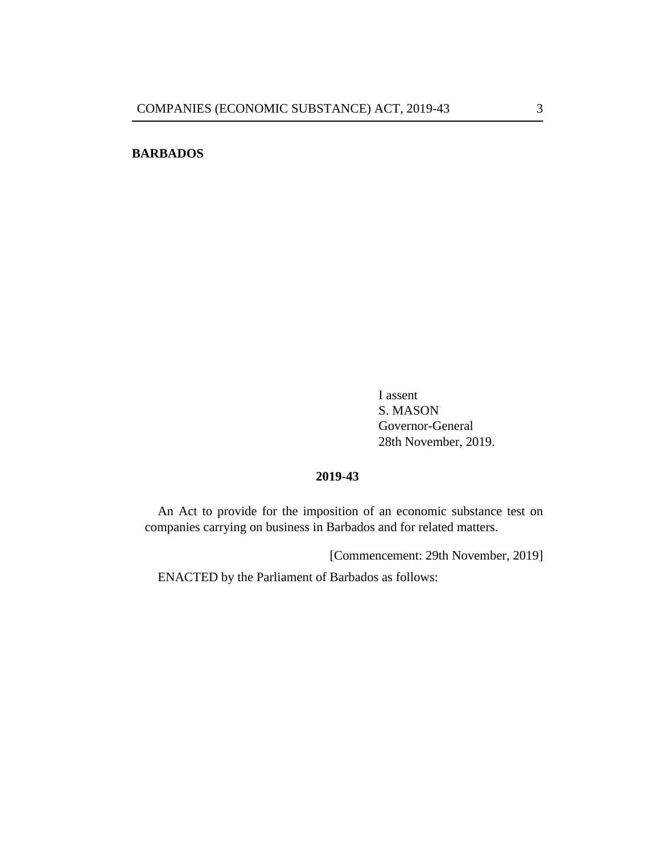## **BARBADOS**

I assent S. MASON Governor-General 28th November, 2019.

### **2019-43**

An Act to provide for the imposition of an economic substance test on companies carrying on business in Barbados and for related matters.

[Commencement: 29th November, 2019]

ENACTED by the Parliament of Barbados as follows: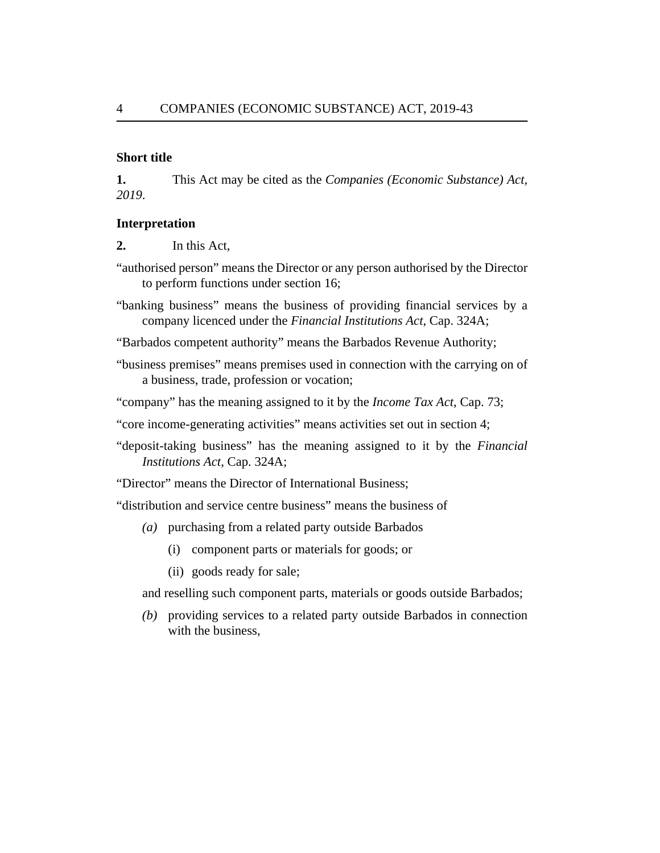### **Short title**

This Act may be cited as the *Companies (Economic Substance) Act, 2019*. **1.**

#### **Interpretation**

In this Act, **2.**

- "authorised person" means the Director or any person authorised by the Director to perform functions under section 16;
- "banking business" means the business of providing financial services by a company licenced under the *[Financial Institutions Act](http://barbadosparliament-laws.com/en/showdoc/cs/324A)*, Cap. 324A;

"Barbados competent authority" means the Barbados Revenue Authority;

- "business premises" means premises used in connection with the carrying on of a business, trade, profession or vocation;
- "company" has the meaning assigned to it by the *[Income Tax Act](http://barbadosparliament-laws.com/en/showdoc/cs/73;)*, Cap. 73;
- "core income-generating activities" means activities set out in section 4;
- "deposit-taking business" has the meaning assigned to it by the *[Financial](http://barbadosparliament-laws.com/en/showdoc/cs/324A) [Institutions Act](http://barbadosparliament-laws.com/en/showdoc/cs/324A)*, Cap. 324A;

"Director" means the Director of International Business;

- "distribution and service centre business" means the business of
	- purchasing from a related party outside Barbados *(a)*
		- (i) component parts or materials for goods; or
		- (ii) goods ready for sale;
	- and reselling such component parts, materials or goods outside Barbados;
	- providing services to a related party outside Barbados in connection *(b)* with the business,

<span id="page-3-0"></span>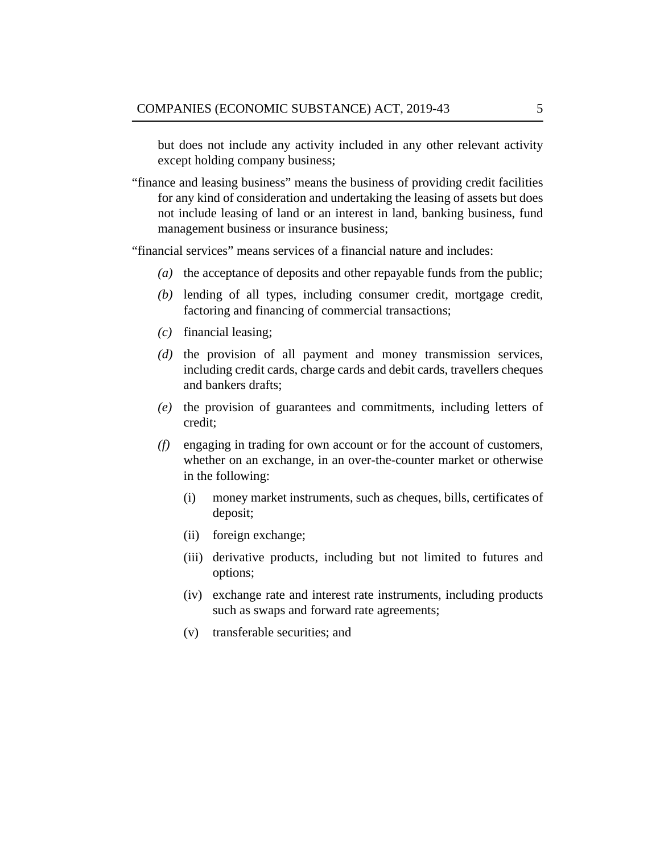but does not include any activity included in any other relevant activity except holding company business;

"finance and leasing business" means the business of providing credit facilities for any kind of consideration and undertaking the leasing of assets but does not include leasing of land or an interest in land, banking business, fund management business or insurance business;

"financial services" means services of a financial nature and includes:

- (a) the acceptance of deposits and other repayable funds from the public;
- (b) lending of all types, including consumer credit, mortgage credit, factoring and financing of commercial transactions;
- financial leasing; *(c)*
- $(d)$  the provision of all payment and money transmission services, including credit cards, charge cards and debit cards, travellers cheques and bankers drafts;
- (e) the provision of guarantees and commitments, including letters of credit;
- engaging in trading for own account or for the account of customers, *(f)* whether on an exchange, in an over-the-counter market or otherwise in the following:
	- money market instruments, such as *c*heques, bills, certificates of deposit; (i)
	- (ii) foreign exchange;
	- (iii) derivative products, including but not limited to futures and options;
	- (iv) exchange rate and interest rate instruments, including products such as swaps and forward rate agreements;
	- (v) transferable securities; and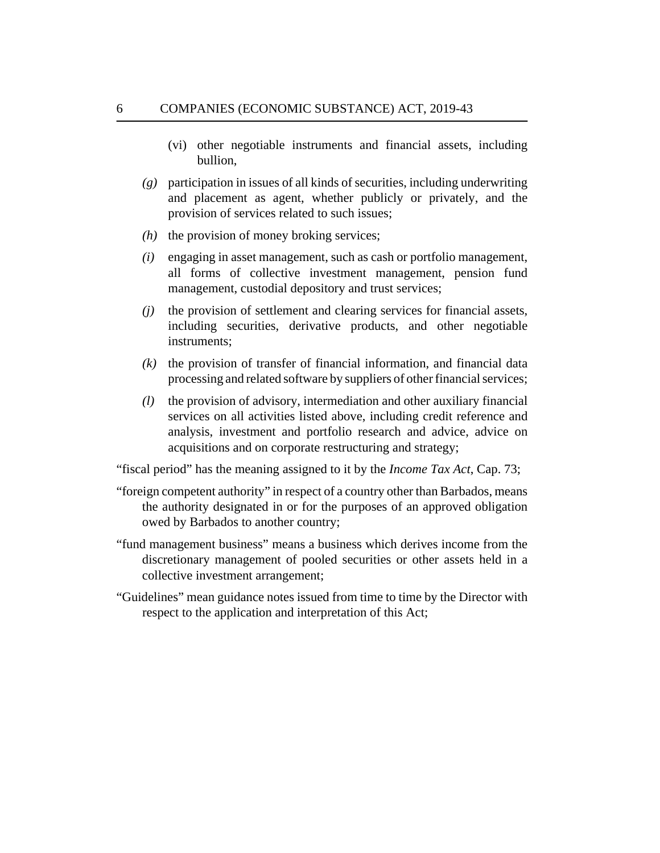- (vi) other negotiable instruments and financial assets, including bullion,
- participation in issues of all kinds of securities, including underwriting *(g)* and placement as agent, whether publicly or privately, and the provision of services related to such issues;
- $(h)$  the provision of money broking services;
- engaging in asset management, such as cash or portfolio management, *(i)* all forms of collective investment management, pension fund management, custodial depository and trust services;
- (*j*) the provision of settlement and clearing services for financial assets, including securities, derivative products, and other negotiable instruments;
- $(k)$  the provision of transfer of financial information, and financial data processing and related software by suppliers of other financial services;
- the provision of advisory, intermediation and other auxiliary financial services on all activities listed above, including credit reference and analysis, investment and portfolio research and advice, advice on acquisitions and on corporate restructuring and strategy; *(l)*

"fiscal period" has the meaning assigned to it by the *[Income Tax Act](http://barbadosparliament-laws.com/en/showdoc/cs/73)*, Cap. 73;

- "foreign competent authority" in respect of a country other than Barbados, means the authority designated in or for the purposes of an approved obligation owed by Barbados to another country;
- "fund management business" means a business which derives income from the discretionary management of pooled securities or other assets held in a collective investment arrangement;
- "Guidelines" mean guidance notes issued from time to time by the Director with respect to the application and interpretation of this Act;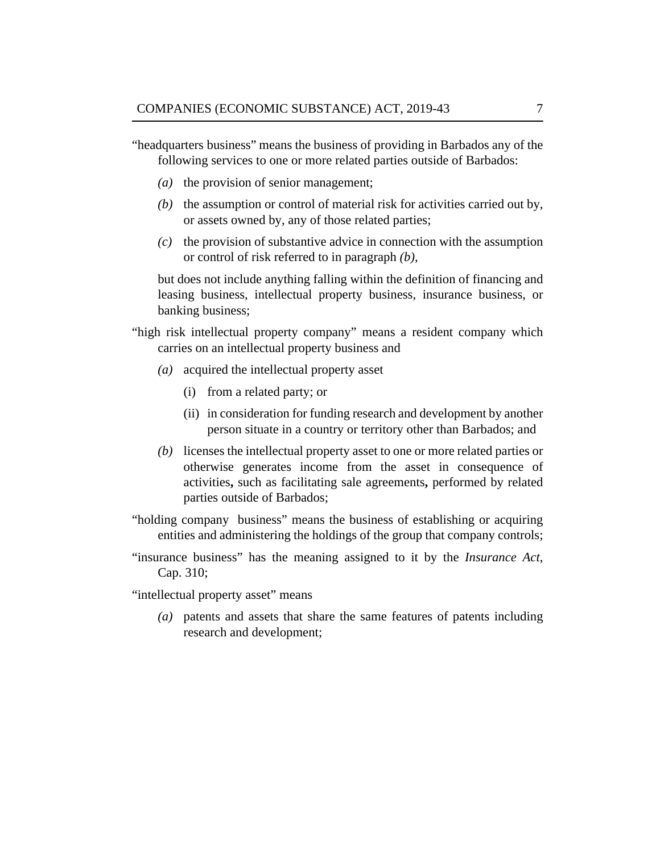"headquarters business" means the business of providing in Barbados any of the following services to one or more related parties outside of Barbados:

- $(a)$  the provision of senior management;
- $(t)$  the assumption or control of material risk for activities carried out by, or assets owned by, any of those related parties;
- $\alpha$  the provision of substantive advice in connection with the assumption or control of risk referred to in paragraph *(b)*,

but does not include anything falling within the definition of financing and leasing business, intellectual property business, insurance business, or banking business;

- "high risk intellectual property company" means a resident company which carries on an intellectual property business and
	- (a) acquired the intellectual property asset
		- (i) from a related party; or
		- (ii) in consideration for funding research and development by another person situate in a country or territory other than Barbados; and
	- (b) licenses the intellectual property asset to one or more related parties or otherwise generates income from the asset in consequence of activities**,** such as facilitating sale agreements**,** performed by related parties outside of Barbados;
- "holding company business" means the business of establishing or acquiring entities and administering the holdings of the group that company controls;
- "insurance business" has the meaning assigned to it by the *[Insurance Act](http://barbadosparliament-laws.com/en/showdoc/cs/310;)*, [Cap. 310;](http://barbadosparliament-laws.com/en/showdoc/cs/310;)

"intellectual property asset" means

patents and assets that share the same features of patents including *(a)* research and development;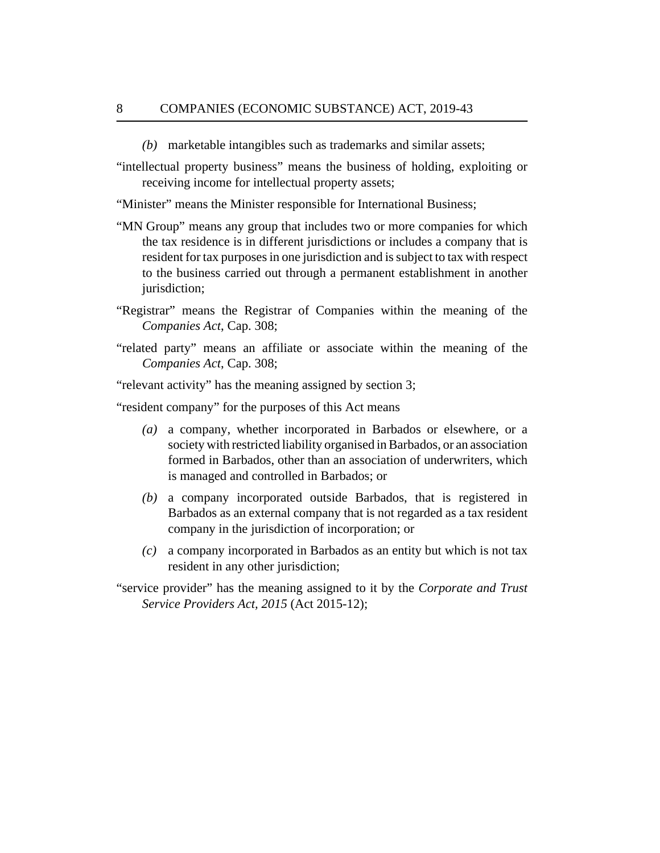- marketable intangibles such as trademarks and similar assets; *(b)*
- "intellectual property business" means the business of holding, exploiting or receiving income for intellectual property assets;
- "Minister" means the Minister responsible for International Business;
- "MN Group" means any group that includes two or more companies for which the tax residence is in different jurisdictions or includes a company that is resident for tax purposes in one jurisdiction and is subject to tax with respect to the business carried out through a permanent establishment in another jurisdiction;
- "Registrar" means the Registrar of Companies within the meaning of the *[Companies Act](http://barbadosparliament-laws.com/en/showdoc/cs/308)*, Cap. 308;
- "related party" means an affiliate or associate within the meaning of the *[Companies Act](http://barbadosparliament-laws.com/en/showdoc/cs/308;)*, Cap. 308;
- "relevant activity" has the meaning assigned by section 3;
- "resident company" for the purposes of this Act means
	- a company, whether incorporated in Barbados or elsewhere, or a *(a)* society with restricted liability organised in Barbados, or an association formed in Barbados, other than an association of underwriters, which is managed and controlled in Barbados; or
	- a company incorporated outside Barbados, that is registered in *(b)* Barbados as an external company that is not regarded as a tax resident company in the jurisdiction of incorporation; or
	- a company incorporated in Barbados as an entity but which is not tax *(c)* resident in any other jurisdiction;
- "service provider" has the meaning assigned to it by the *[Corporate and Trust](http://barbadosparliament-laws.com/en/showdoc/cs/2015_12) [Service Providers Act, 2015](http://barbadosparliament-laws.com/en/showdoc/cs/2015_12)* (Act 2015-12);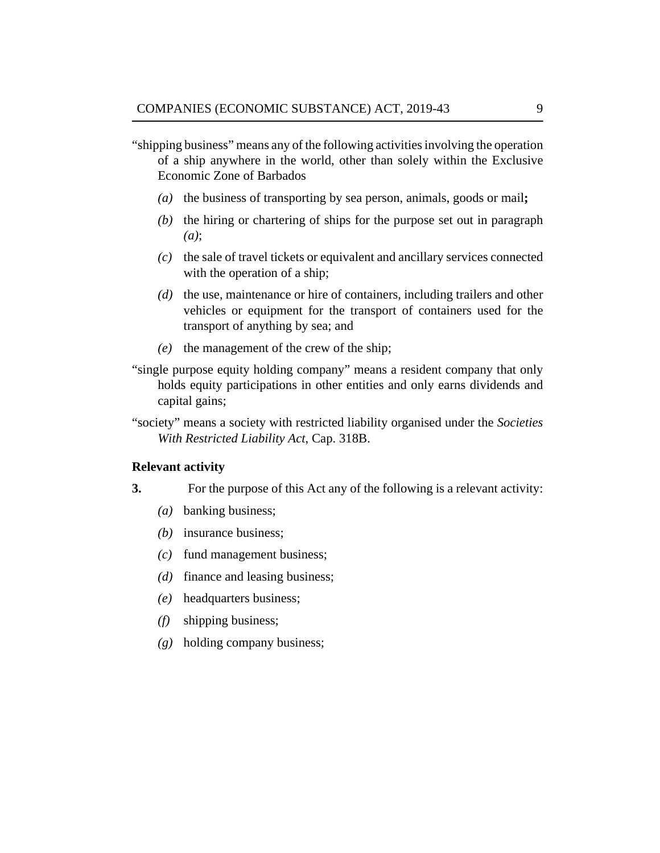- <span id="page-8-0"></span>"shipping business" means any of the following activities involving the operation of a ship anywhere in the world, other than solely within the Exclusive Economic Zone of Barbados
	- (a) the business of transporting by sea person, animals, goods or mail;
	- $(b)$  the hiring or chartering of ships for the purpose set out in paragraph *(a)*;
	- the sale of travel tickets or equivalent and ancillary services connected *(c)* with the operation of a ship;
	- (d) the use, maintenance or hire of containers, including trailers and other vehicles or equipment for the transport of containers used for the transport of anything by sea; and
	- (e) the management of the crew of the ship;
- "single purpose equity holding company" means a resident company that only holds equity participations in other entities and only earns dividends and capital gains;
- "society" means a society with restricted liability organised under the *[Societies](http://barbadosparliament-laws.com/en/showdoc/cs/318B) [With Restricted Liability Act](http://barbadosparliament-laws.com/en/showdoc/cs/318B)*, Cap. 318B.

### **Relevant activity**

- For the purpose of this Act any of the following is a relevant activity: **3.**
	- banking business; *(a)*
	- (b) insurance business;
	- fund management business; *(c)*
	- (*d*) finance and leasing business;
	- headquarters business; *(e)*
	- shipping business; *(f)*
	- holding company business; *(g)*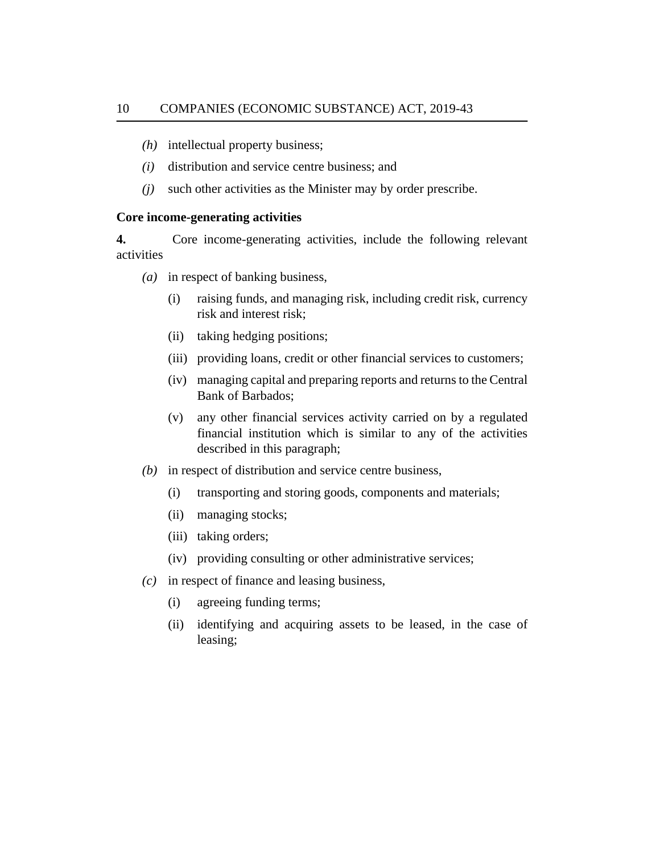- <span id="page-9-0"></span>(h) intellectual property business;
- (*i*) distribution and service centre business; and
- such other activities as the Minister may by order prescribe. *(j)*

### **Core income-generating activities**

Core income-generating activities, include the following relevant activities **4.**

- in respect of banking business, *(a)*
	- raising funds, and managing risk, including credit risk, currency risk and interest risk; (i)
	- taking hedging positions; (ii)
	- (iii) providing loans, credit or other financial services to customers;
	- managing capital and preparing reports and returns to the Central (iv) Bank of Barbados;
	- any other financial services activity carried on by a regulated financial institution which is similar to any of the activities described in this paragraph; (v)
- (b) in respect of distribution and service centre business,
	- transporting and storing goods, components and materials; (i)
	- managing stocks; (ii)
	- (iii) taking orders;
	- (iv) providing consulting or other administrative services;
- in respect of finance and leasing business, *(c)*
	- agreeing funding terms; (i)
	- identifying and acquiring assets to be leased, in the case of leasing; (ii)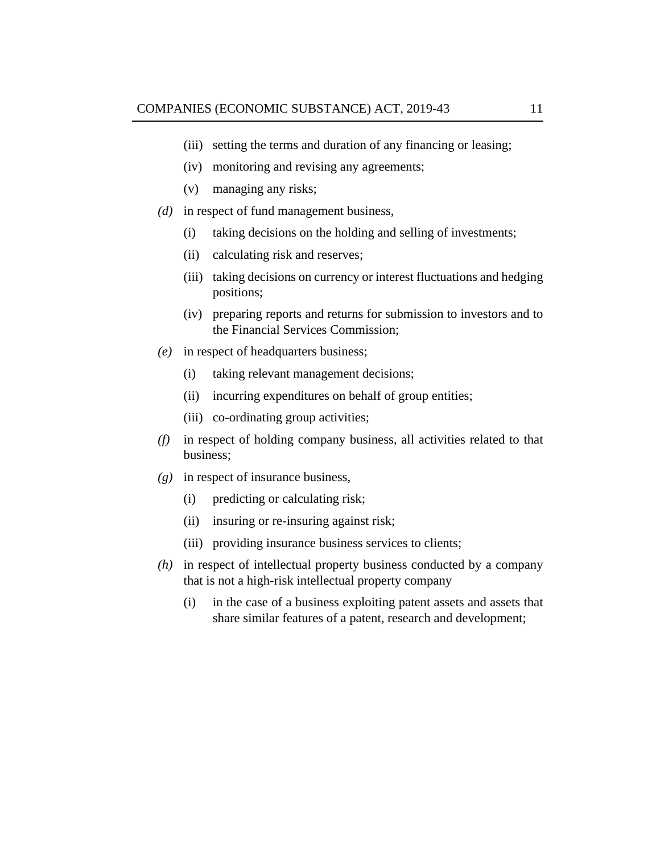- (iii) setting the terms and duration of any financing or leasing;
- monitoring and revising any agreements; (iv)
- managing any risks; (v)
- (*d*) in respect of fund management business,
	- taking decisions on the holding and selling of investments; (i)
	- calculating risk and reserves; (ii)
	- (iii) taking decisions on currency or interest fluctuations and hedging positions;
	- (iv) preparing reports and returns for submission to investors and to the Financial Services Commission;
- in respect of headquarters business; *(e)*
	- taking relevant management decisions; (i)
	- (ii) incurring expenditures on behalf of group entities;
	- (iii) co-ordinating group activities;
- in respect of holding company business, all activities related to that *(f)* business;
- in respect of insurance business, *(g)*
	- predicting or calculating risk; (i)
	- (ii) insuring or re-insuring against risk;
	- (iii) providing insurance business services to clients;
- in respect of intellectual property business conducted by a company *(h)* that is not a high-risk intellectual property company
	- in the case of a business exploiting patent assets and assets that share similar features of a patent, research and development; (i)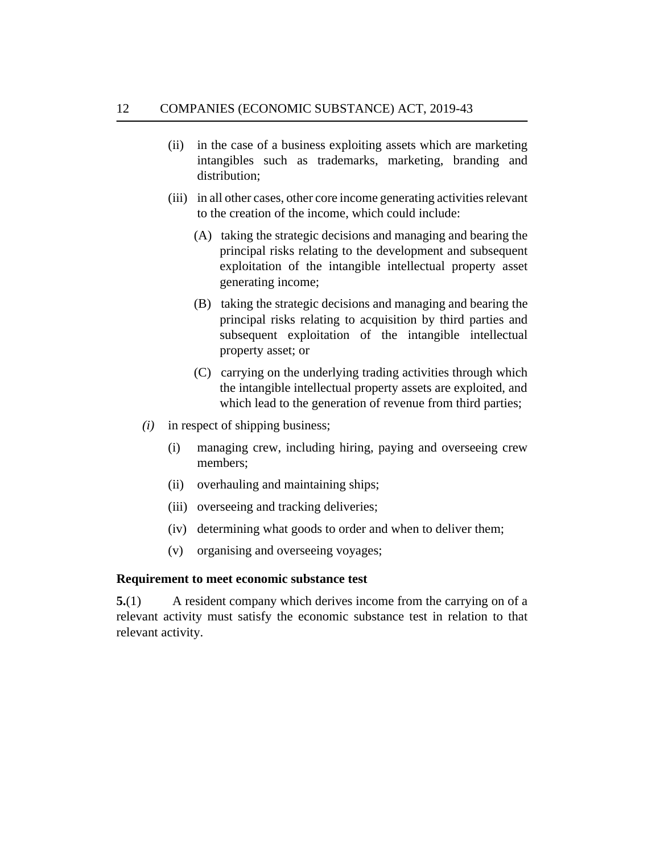- <span id="page-11-0"></span>in the case of a business exploiting assets which are marketing intangibles such as trademarks, marketing, branding and distribution; (ii)
- (iii) in all other cases, other core income generating activities relevant to the creation of the income, which could include:
	- (A) taking the strategic decisions and managing and bearing the principal risks relating to the development and subsequent exploitation of the intangible intellectual property asset generating income;
	- (B) taking the strategic decisions and managing and bearing the principal risks relating to acquisition by third parties and subsequent exploitation of the intangible intellectual property asset; or
	- (C) carrying on the underlying trading activities through which the intangible intellectual property assets are exploited, and which lead to the generation of revenue from third parties;
- in respect of shipping business; *(i)*
	- managing crew, including hiring, paying and overseeing crew members; (i)
	- (ii) overhauling and maintaining ships;
	- (iii) overseeing and tracking deliveries;
	- (iv) determining what goods to order and when to deliver them;
	- organising and overseeing voyages; (v)

### **Requirement to meet economic substance test**

A resident company which derives income from the carrying on of a relevant activity must satisfy the economic substance test in relation to that relevant activity. **5.**(1)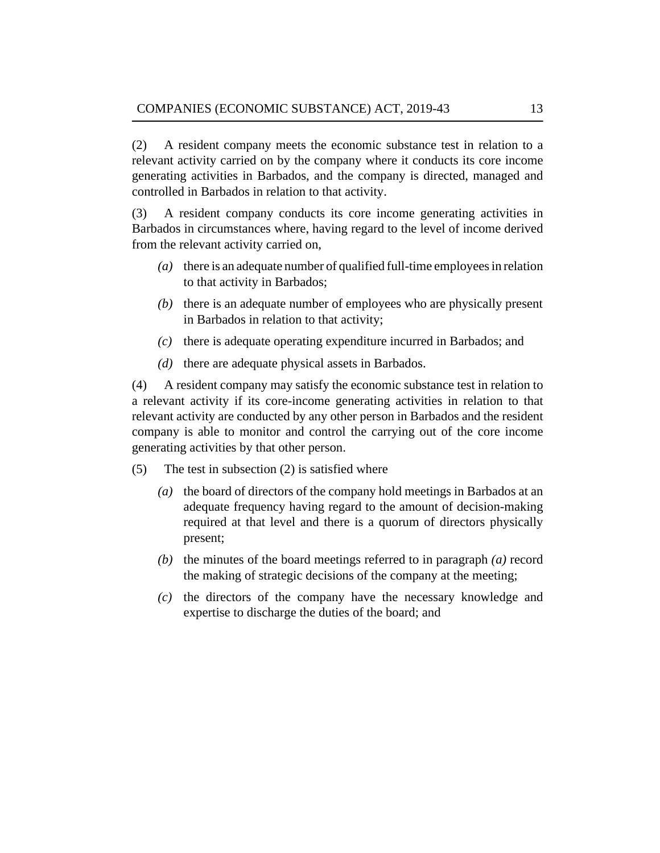A resident company meets the economic substance test in relation to a relevant activity carried on by the company where it conducts its core income generating activities in Barbados, and the company is directed, managed and controlled in Barbados in relation to that activity. (2)

A resident company conducts its core income generating activities in Barbados in circumstances where, having regard to the level of income derived from the relevant activity carried on, (3)

- there is an adequate number of qualified full-time employees in relation *(a)* to that activity in Barbados;
- (b) there is an adequate number of employees who are physically present in Barbados in relation to that activity;
- there is adequate operating expenditure incurred in Barbados; and *(c)*
- $(d)$  there are adequate physical assets in Barbados.

A resident company may satisfy the economic substance test in relation to a relevant activity if its core-income generating activities in relation to that relevant activity are conducted by any other person in Barbados and the resident company is able to monitor and control the carrying out of the core income generating activities by that other person. (4)

- The test in subsection (2) is satisfied where (5)
	- (a) the board of directors of the company hold meetings in Barbados at an adequate frequency having regard to the amount of decision-making required at that level and there is a quorum of directors physically present;
	- $(t)$  the minutes of the board meetings referred to in paragraph  $(a)$  record the making of strategic decisions of the company at the meeting;
	- $(c)$  the directors of the company have the necessary knowledge and expertise to discharge the duties of the board; and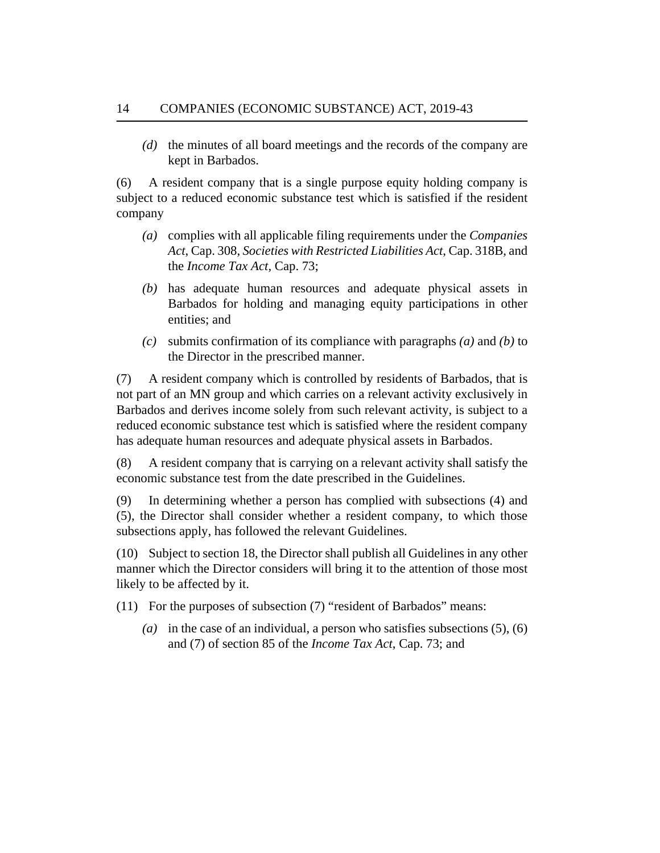(d) the minutes of all board meetings and the records of the company are kept in Barbados.

A resident company that is a single purpose equity holding company is subject to a reduced economic substance test which is satisfied if the resident company (6)

- complies with all applicable filing requirements under the *[Companies](http://barbadosparliament-laws.com/en/showdoc/cs/308,) (a) Act*[, Cap. 308,](http://barbadosparliament-laws.com/en/showdoc/cs/308,) *[Societies with Restricted Liabilities Act](http://barbadosparliament-laws.com/en/showdoc/cs/318B,)*, Cap. 318B, and the *[Income Tax Act](http://barbadosparliament-laws.com/en/showdoc/cs/73;)*, Cap. 73;
- (b) has adequate human resources and adequate physical assets in Barbados for holding and managing equity participations in other entities; and
- $\alpha$  submits confirmation of its compliance with paragraphs  $\alpha$  and  $\alpha$  to the Director in the prescribed manner.

A resident company which is controlled by residents of Barbados, that is not part of an MN group and which carries on a relevant activity exclusively in Barbados and derives income solely from such relevant activity, is subject to a reduced economic substance test which is satisfied where the resident company has adequate human resources and adequate physical assets in Barbados. (7)

A resident company that is carrying on a relevant activity shall satisfy the economic substance test from the date prescribed in the Guidelines. (8)

In determining whether a person has complied with subsections (4) and (5), the Director shall consider whether a resident company, to which those subsections apply, has followed the relevant Guidelines. (9)

(10) Subject to section 18, the Director shall publish all Guidelines in any other manner which the Director considers will bring it to the attention of those most likely to be affected by it.

(11) For the purposes of subsection (7) "resident of Barbados" means:

(a) in the case of an individual, a person who satisfies subsections  $(5)$ ,  $(6)$ and (7) of section 85 of the *[Income Tax Act](http://barbadosparliament-laws.com/en/showdoc/cs/73;)*, Cap. 73; and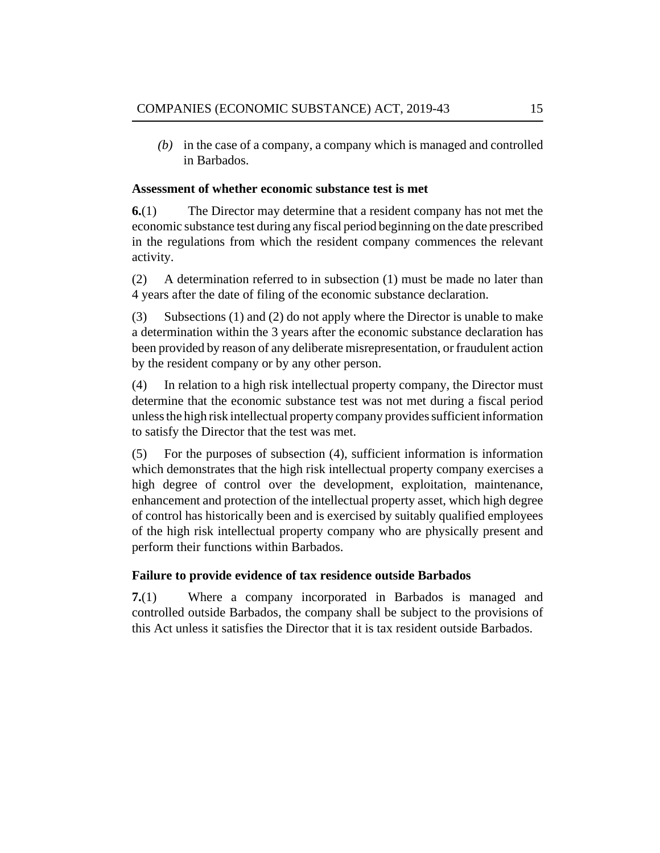<span id="page-14-0"></span>(b) in the case of a company, a company which is managed and controlled in Barbados.

### **Assessment of whether economic substance test is met**

The Director may determine that a resident company has not met the economic substance test during any fiscal period beginning on the date prescribed in the regulations from which the resident company commences the relevant activity. **6.**(1)

A determination referred to in subsection (1) must be made no later than 4 years after the date of filing of the economic substance declaration. (2)

Subsections (1) and (2) do not apply where the Director is unable to make a determination within the 3 years after the economic substance declaration has been provided by reason of any deliberate misrepresentation, or fraudulent action by the resident company or by any other person. (3)

In relation to a high risk intellectual property company, the Director must determine that the economic substance test was not met during a fiscal period unless the high risk intellectual property company provides sufficient information to satisfy the Director that the test was met. (4)

For the purposes of subsection (4), sufficient information is information which demonstrates that the high risk intellectual property company exercises a high degree of control over the development, exploitation, maintenance, enhancement and protection of the intellectual property asset, which high degree of control has historically been and is exercised by suitably qualified employees of the high risk intellectual property company who are physically present and perform their functions within Barbados. (5)

## **Failure to provide evidence of tax residence outside Barbados**

Where a company incorporated in Barbados is managed and controlled outside Barbados, the company shall be subject to the provisions of this Act unless it satisfies the Director that it is tax resident outside Barbados. **7.**(1)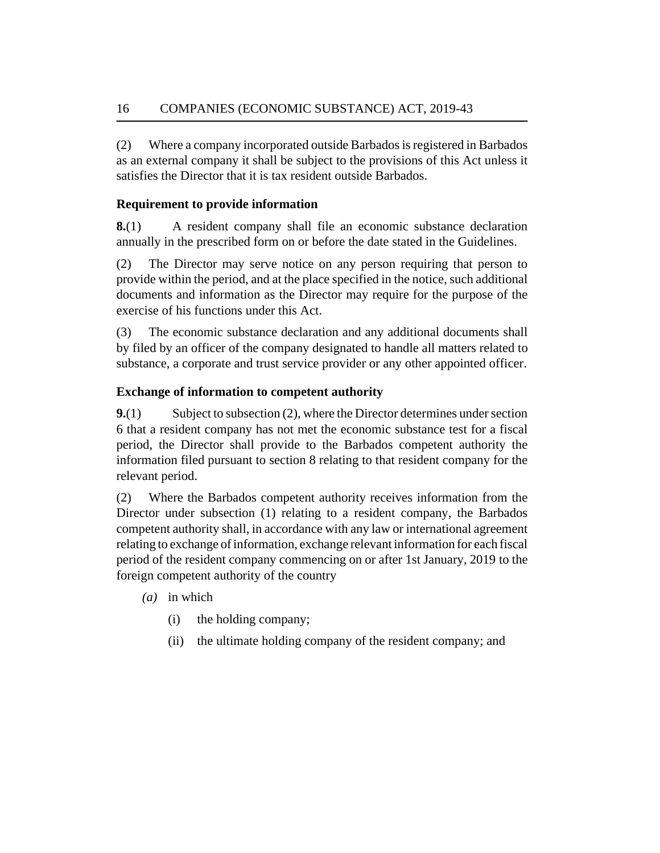<span id="page-15-0"></span>Where a company incorporated outside Barbados is registered in Barbados as an external company it shall be subject to the provisions of this Act unless it satisfies the Director that it is tax resident outside Barbados. (2)

## **Requirement to provide information**

A resident company shall file an economic substance declaration annually in the prescribed form on or before the date stated in the Guidelines. **8.**(1)

The Director may serve notice on any person requiring that person to provide within the period, and at the place specified in the notice, such additional documents and information as the Director may require for the purpose of the exercise of his functions under this Act. (2)

The economic substance declaration and any additional documents shall by filed by an officer of the company designated to handle all matters related to substance, a corporate and trust service provider or any other appointed officer. (3)

## **Exchange of information to competent authority**

Subject to subsection (2), where the Director determines under section 6 that a resident company has not met the economic substance test for a fiscal period, the Director shall provide to the Barbados competent authority the information filed pursuant to section 8 relating to that resident company for the relevant period. **9.**(1)

Where the Barbados competent authority receives information from the Director under subsection (1) relating to a resident company, the Barbados competent authority shall, in accordance with any law or international agreement relating to exchange of information, exchange relevant information for each fiscal period of the resident company commencing on or after 1st January, 2019 to the foreign competent authority of the country (2)

- (*a*) in which
	- the holding company; (i)
	- the ultimate holding company of the resident company; and (ii)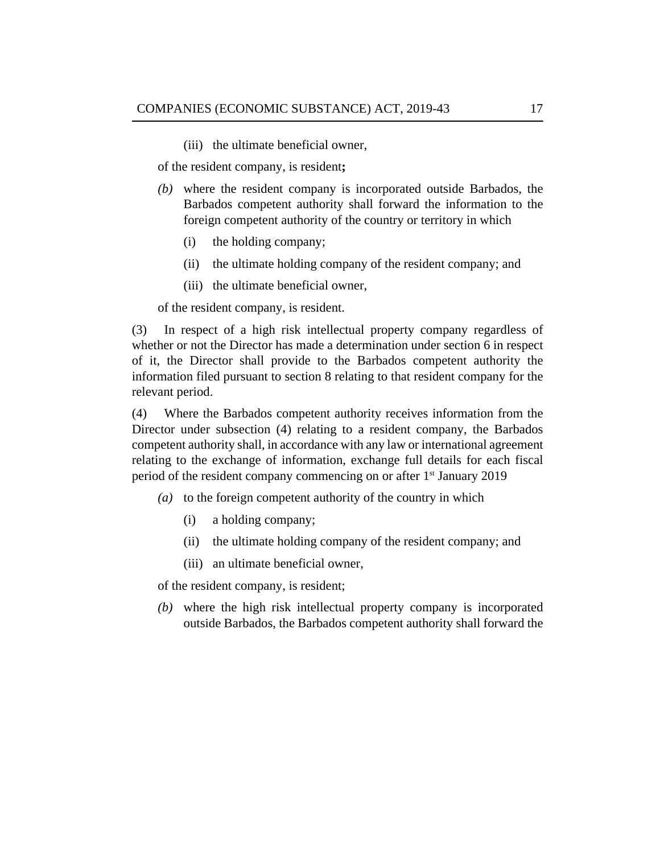(iii) the ultimate beneficial owner,

of the resident company, is resident**;**

- where the resident company is incorporated outside Barbados, the *(b)* Barbados competent authority shall forward the information to the foreign competent authority of the country or territory in which
	- the holding company; (i)
	- the ultimate holding company of the resident company; and (ii)
	- (iii) the ultimate beneficial owner,

of the resident company, is resident.

In respect of a high risk intellectual property company regardless of whether or not the Director has made a determination under section 6 in respect of it, the Director shall provide to the Barbados competent authority the information filed pursuant to section 8 relating to that resident company for the relevant period. (3)

Where the Barbados competent authority receives information from the Director under subsection (4) relating to a resident company, the Barbados competent authority shall, in accordance with any law or international agreement relating to the exchange of information, exchange full details for each fiscal period of the resident company commencing on or after 1<sup>st</sup> January 2019 (4)

- (a) to the foreign competent authority of the country in which
	- a holding company; (i)
	- the ultimate holding company of the resident company; and (ii)
	- (iii) an ultimate beneficial owner,

of the resident company, is resident;

where the high risk intellectual property company is incorporated *(b)* outside Barbados, the Barbados competent authority shall forward the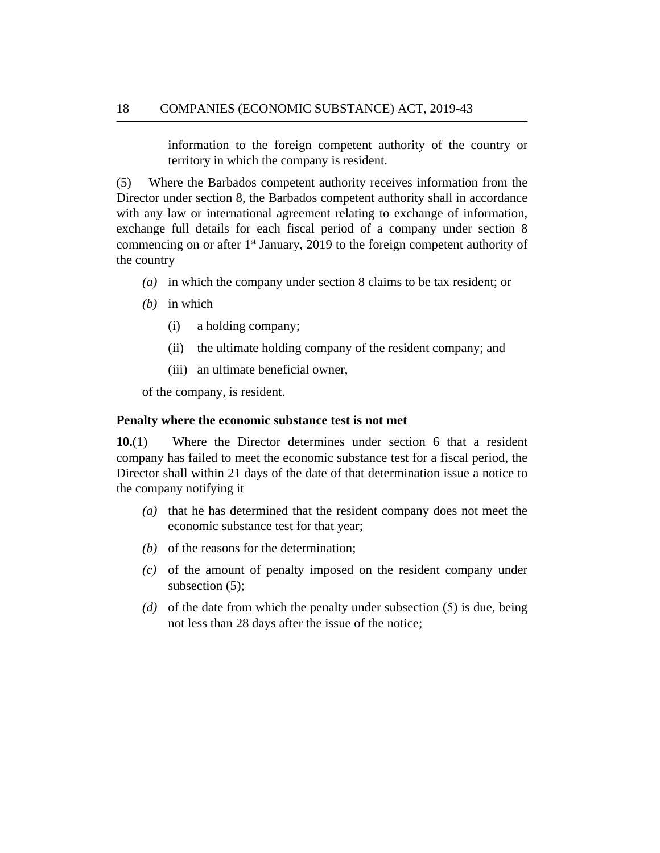information to the foreign competent authority of the country or territory in which the company is resident.

<span id="page-17-0"></span>Where the Barbados competent authority receives information from the Director under section 8, the Barbados competent authority shall in accordance with any law or international agreement relating to exchange of information, exchange full details for each fiscal period of a company under section 8 commencing on or after  $1<sup>st</sup>$  January, 2019 to the foreign competent authority of the country (5)

- in which the company under section 8 claims to be tax resident; or *(a)*
- (b) in which
	- a holding company; (i)
	- the ultimate holding company of the resident company; and (ii)
	- (iii) an ultimate beneficial owner,

of the company, is resident.

### **Penalty where the economic substance test is not met**

Where the Director determines under section 6 that a resident company has failed to meet the economic substance test for a fiscal period, the Director shall within 21 days of the date of that determination issue a notice to the company notifying it **10.**(1)

- (a) that he has determined that the resident company does not meet the economic substance test for that year;
- $(b)$  of the reasons for the determination;
- $(c)$  of the amount of penalty imposed on the resident company under subsection (5);
- (d) of the date from which the penalty under subsection (5) is due, being not less than 28 days after the issue of the notice;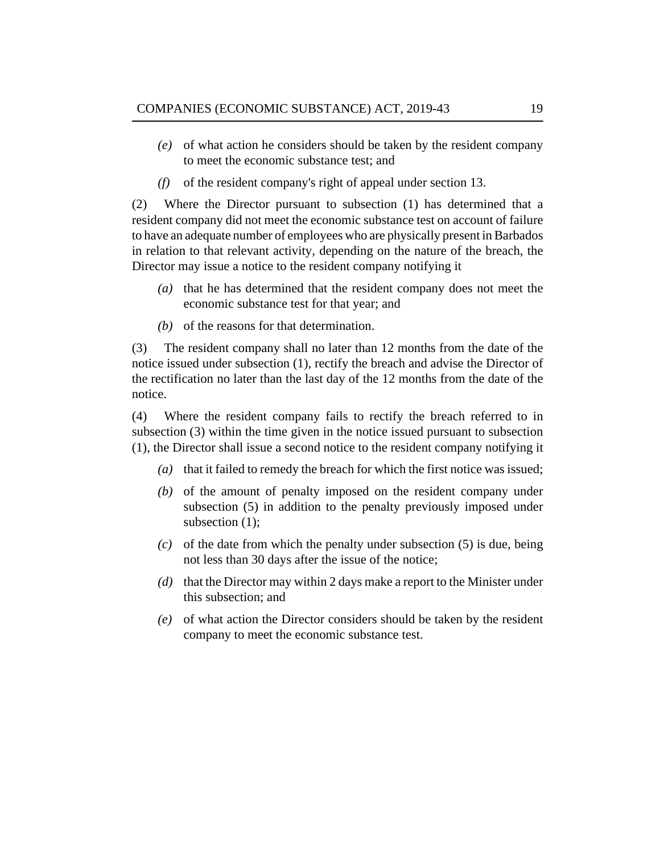- of what action he considers should be taken by the resident company *(e)* to meet the economic substance test; and
- of the resident company's right of appeal under section 13. *(f)*

Where the Director pursuant to subsection (1) has determined that a resident company did not meet the economic substance test on account of failure to have an adequate number of employees who are physically present in Barbados in relation to that relevant activity, depending on the nature of the breach, the Director may issue a notice to the resident company notifying it (2)

- (a) that he has determined that the resident company does not meet the economic substance test for that year; and
- $(b)$  of the reasons for that determination.

The resident company shall no later than 12 months from the date of the notice issued under subsection (1), rectify the breach and advise the Director of the rectification no later than the last day of the 12 months from the date of the notice. (3)

Where the resident company fails to rectify the breach referred to in subsection (3) within the time given in the notice issued pursuant to subsection (1), the Director shall issue a second notice to the resident company notifying it (4)

- (a) that it failed to remedy the breach for which the first notice was issued;
- $(b)$  of the amount of penalty imposed on the resident company under subsection (5) in addition to the penalty previously imposed under subsection (1);
- $(c)$  of the date from which the penalty under subsection  $(5)$  is due, being not less than 30 days after the issue of the notice;
- (d) that the Director may within 2 days make a report to the Minister under this subsection; and
- of what action the Director considers should be taken by the resident *(e)* company to meet the economic substance test.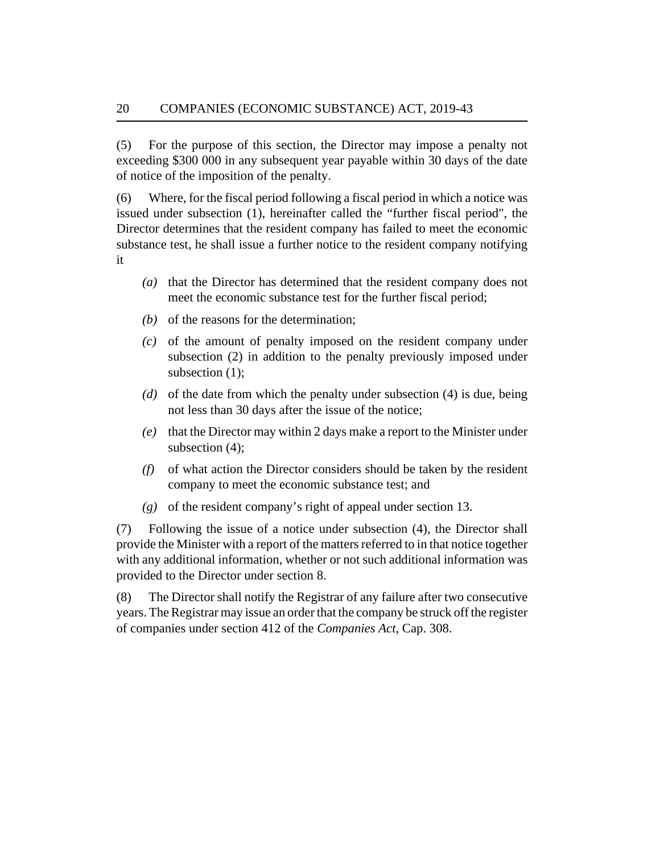For the purpose of this section, the Director may impose a penalty not exceeding \$300 000 in any subsequent year payable within 30 days of the date of notice of the imposition of the penalty. (5)

Where, for the fiscal period following a fiscal period in which a notice was issued under subsection (1), hereinafter called the "further fiscal period", the Director determines that the resident company has failed to meet the economic substance test, he shall issue a further notice to the resident company notifying it (6)

- (a) that the Director has determined that the resident company does not meet the economic substance test for the further fiscal period;
- $(b)$  of the reasons for the determination;
- (c) of the amount of penalty imposed on the resident company under subsection (2) in addition to the penalty previously imposed under subsection (1);
- (d) of the date from which the penalty under subsection (4) is due, being not less than 30 days after the issue of the notice;
- (e) that the Director may within 2 days make a report to the Minister under subsection (4);
- of what action the Director considers should be taken by the resident *(f)* company to meet the economic substance test; and
- of the resident company's right of appeal under section 13. *(g)*

Following the issue of a notice under subsection (4), the Director shall provide the Minister with a report of the matters referred to in that notice together with any additional information, whether or not such additional information was provided to the Director under section 8. (7)

The Director shall notify the Registrar of any failure after two consecutive years. The Registrar may issue an order that the company be struck off the register of companies under section 412 of the *[Companies Act](http://barbadosparliament-laws.com/en/showdoc/cs/308.)*, Cap. 308. (8)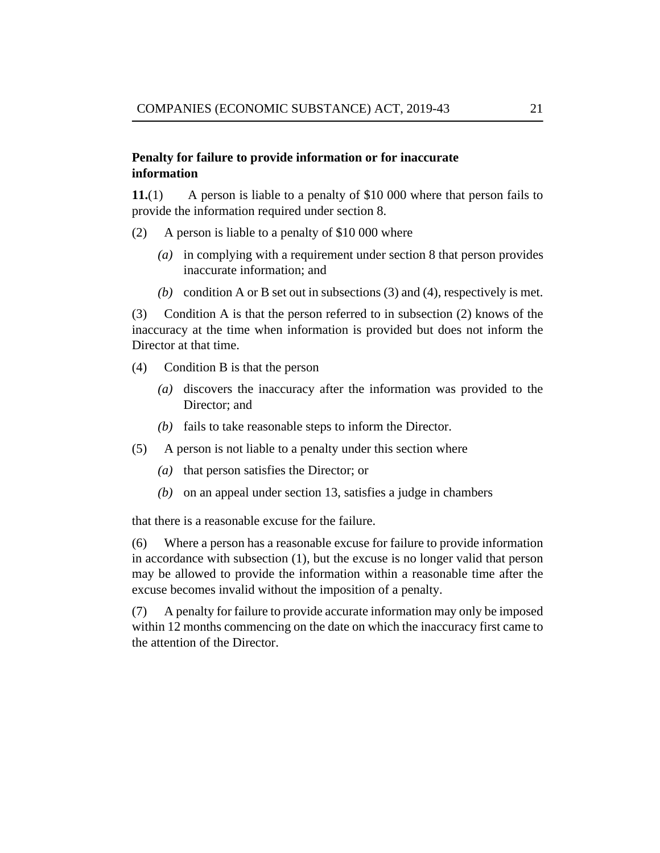### <span id="page-20-0"></span>**Penalty for failure to provide information or for inaccurate information**

A person is liable to a penalty of \$10 000 where that person fails to provide the information required under section 8. **11.**(1)

- A person is liable to a penalty of \$10 000 where (2)
	- in complying with a requirement under section 8 that person provides *(a)* inaccurate information; and
	- (b) condition A or B set out in subsections  $(3)$  and  $(4)$ , respectively is met.

Condition A is that the person referred to in subsection (2) knows of the inaccuracy at the time when information is provided but does not inform the Director at that time. (3)

- Condition B is that the person (4)
	- (a) discovers the inaccuracy after the information was provided to the Director; and
	- $(b)$  fails to take reasonable steps to inform the Director.
- A person is not liable to a penalty under this section where (5)
	- (a) that person satisfies the Director; or
	- (b) on an appeal under section 13, satisfies a judge in chambers

that there is a reasonable excuse for the failure.

Where a person has a reasonable excuse for failure to provide information in accordance with subsection (1), but the excuse is no longer valid that person may be allowed to provide the information within a reasonable time after the excuse becomes invalid without the imposition of a penalty. (6)

A penalty for failure to provide accurate information may only be imposed within 12 months commencing on the date on which the inaccuracy first came to the attention of the Director. (7)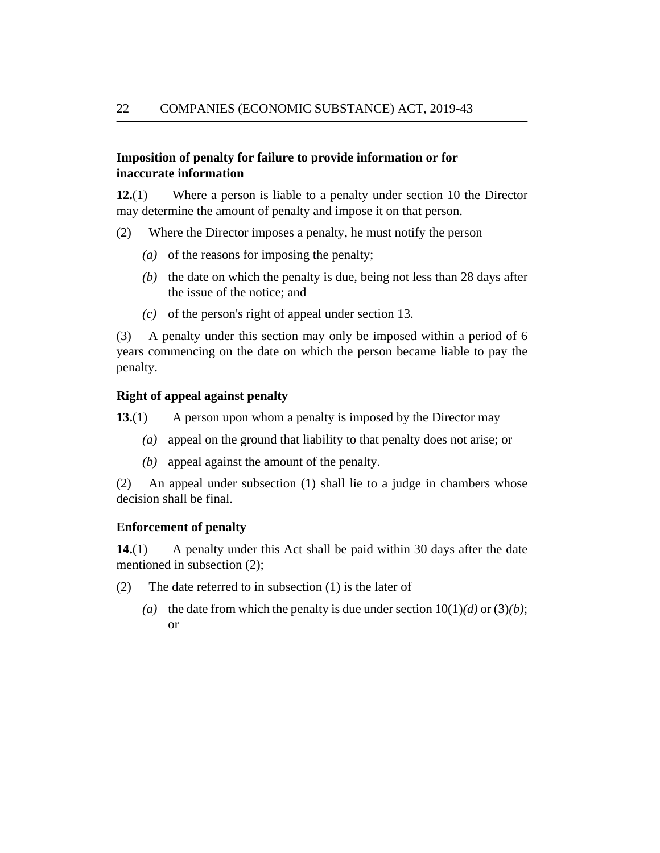### <span id="page-21-0"></span>**Imposition of penalty for failure to provide information or for inaccurate information**

Where a person is liable to a penalty under section 10 the Director may determine the amount of penalty and impose it on that person. **12.**(1)

- Where the Director imposes a penalty, he must notify the person (2)
	- (a) of the reasons for imposing the penalty;
	- $(b)$  the date on which the penalty is due, being not less than 28 days after the issue of the notice; and
	- $(c)$  of the person's right of appeal under section 13.

A penalty under this section may only be imposed within a period of 6 years commencing on the date on which the person became liable to pay the penalty. (3)

#### **Right of appeal against penalty**

A person upon whom a penalty is imposed by the Director may **13.**(1)

- (a) appeal on the ground that liability to that penalty does not arise; or
- $(b)$  appeal against the amount of the penalty.

An appeal under subsection (1) shall lie to a judge in chambers whose decision shall be final. (2)

#### **Enforcement of penalty**

A penalty under this Act shall be paid within 30 days after the date mentioned in subsection (2); **14.**(1)

- The date referred to in subsection (1) is the later of (2)
	- (a) the date from which the penalty is due under section  $10(1)(d)$  or  $(3)(b)$ ; or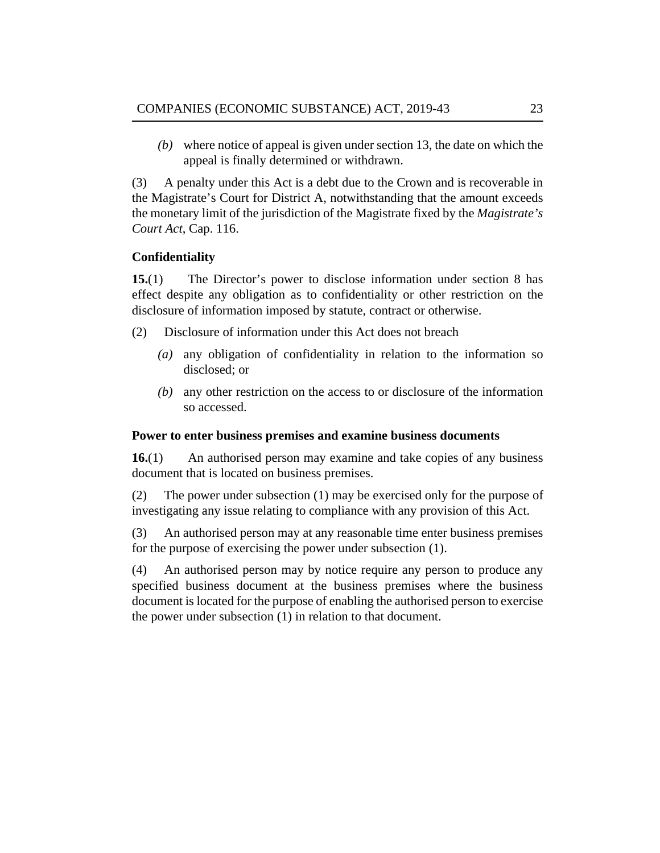<span id="page-22-0"></span>where notice of appeal is given under section 13, the date on which the *(b)* appeal is finally determined or withdrawn.

A penalty under this Act is a debt due to the Crown and is recoverable in the Magistrate's Court for District A, notwithstanding that the amount exceeds the monetary limit of the jurisdiction of the Magistrate fixed by the *[Magistrate's](http://barbadosparliament-laws.com/en/showdoc/cs/116.) Court Act*[, Cap. 116.](http://barbadosparliament-laws.com/en/showdoc/cs/116.) (3)

## **Confidentiality**

The Director's power to disclose information under section 8 has effect despite any obligation as to confidentiality or other restriction on the disclosure of information imposed by statute, contract or otherwise. **15.**(1)

- Disclosure of information under this Act does not breach (2)
	- any obligation of confidentiality in relation to the information so *(a)* disclosed; or
	- any other restriction on the access to or disclosure of the information *(b)* so accessed.

### **Power to enter business premises and examine business documents**

An authorised person may examine and take copies of any business document that is located on business premises. **16.**(1)

The power under subsection (1) may be exercised only for the purpose of investigating any issue relating to compliance with any provision of this Act. (2)

An authorised person may at any reasonable time enter business premises for the purpose of exercising the power under subsection (1). (3)

An authorised person may by notice require any person to produce any specified business document at the business premises where the business document is located for the purpose of enabling the authorised person to exercise the power under subsection (1) in relation to that document. (4)